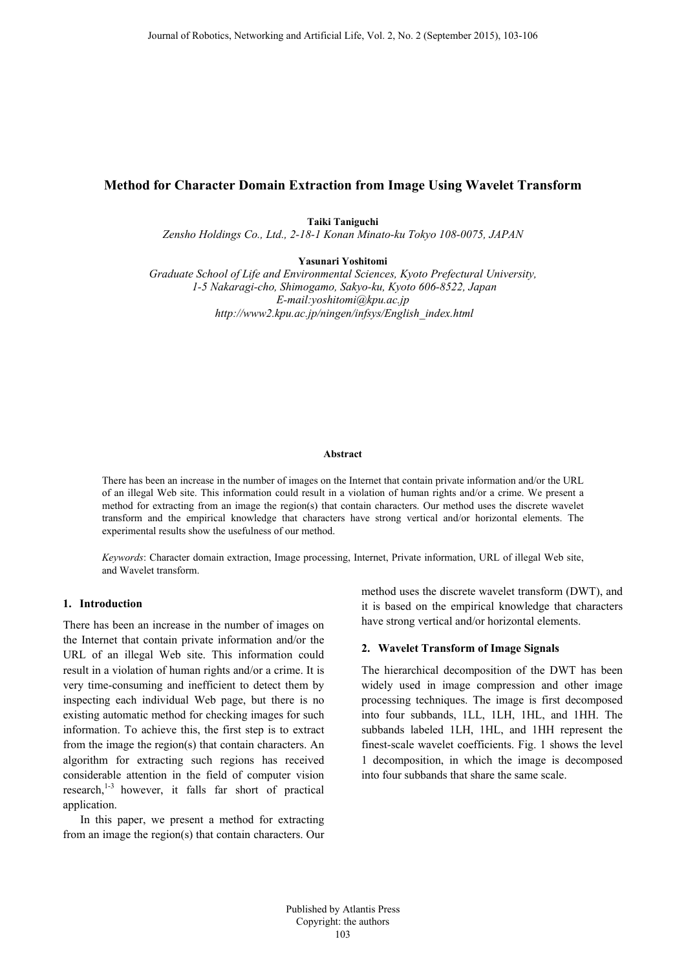# **Method for Character Domain Extraction from Image Using Wavelet Transform**

**Taiki Taniguchi** 

*Zensho Holdings Co., Ltd., 2-18-1 Konan Minato-ku Tokyo 108-0075, JAPAN* 

**Yasunari Yoshitomi** 

*Graduate School of Life and Environmental Sciences, Kyoto Prefectural University, 1-5 Nakaragi-cho, Shimogamo, Sakyo-ku, Kyoto 606-8522, Japan E-mail:yoshitomi@kpu.ac.jp http://www2.kpu.ac.jp/ningen/infsys/English\_index.html* 

#### **Abstract**

There has been an increase in the number of images on the Internet that contain private information and/or the URL of an illegal Web site. This information could result in a violation of human rights and/or a crime. We present a method for extracting from an image the region(s) that contain characters. Our method uses the discrete wavelet transform and the empirical knowledge that characters have strong vertical and/or horizontal elements. The experimental results show the usefulness of our method.

*Keywords*: Character domain extraction, Image processing, Internet, Private information, URL of illegal Web site, and Wavelet transform.

# **1. Introduction**

There has been an increase in the number of images on the Internet that contain private information and/or the URL of an illegal Web site. This information could result in a violation of human rights and/or a crime. It is very time-consuming and inefficient to detect them by inspecting each individual Web page, but there is no existing automatic method for checking images for such information. To achieve this, the first step is to extract from the image the region(s) that contain characters. An algorithm for extracting such regions has received considerable attention in the field of computer vision research, $1-3$  however, it falls far short of practical application.

 In this paper, we present a method for extracting from an image the region(s) that contain characters. Our method uses the discrete wavelet transform (DWT), and it is based on the empirical knowledge that characters have strong vertical and/or horizontal elements.

#### **2. Wavelet Transform of Image Signals**

The hierarchical decomposition of the DWT has been widely used in image compression and other image processing techniques. The image is first decomposed into four subbands, 1LL, 1LH, 1HL, and 1HH. The subbands labeled 1LH, 1HL, and 1HH represent the finest-scale wavelet coefficients. Fig. 1 shows the level 1 decomposition, in which the image is decomposed into four subbands that share the same scale.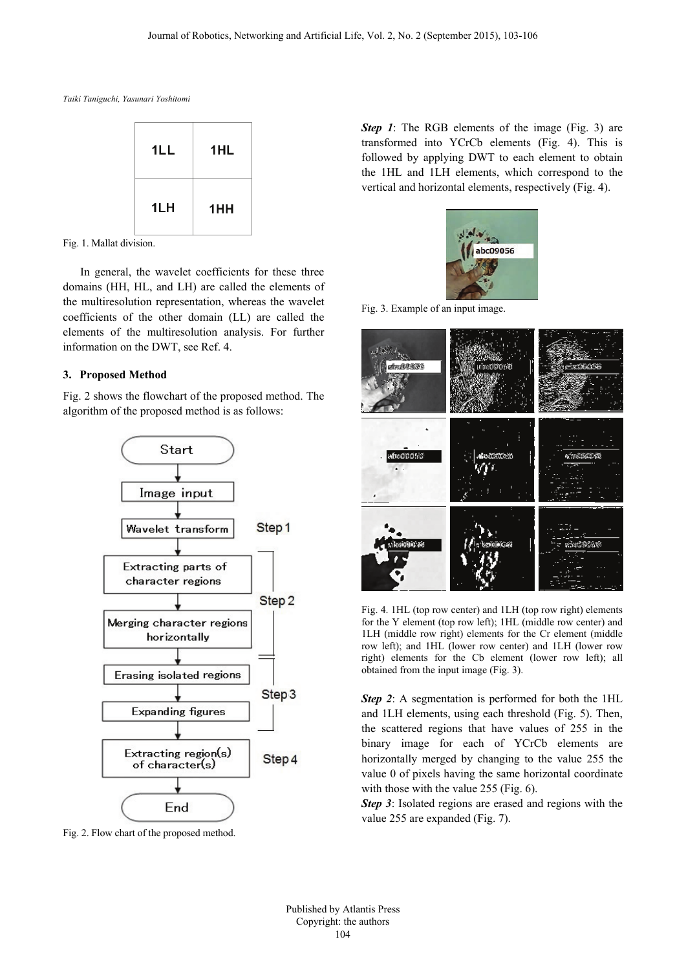*Taiki Taniguchi, Yasunari Yoshitomi* 



Fig. 1. Mallat division.

In general, the wavelet coefficients for these three domains (HH, HL, and LH) are called the elements of the multiresolution representation, whereas the wavelet coefficients of the other domain (LL) are called the elements of the multiresolution analysis. For further information on the DWT, see Ref. 4.

### **3. Proposed Method**

Fig. 2 shows the flowchart of the proposed method. The algorithm of the proposed method is as follows:



Fig. 2. Flow chart of the proposed method.

*Step 1*: The RGB elements of the image (Fig. 3) are transformed into YCrCb elements (Fig. 4). This is followed by applying DWT to each element to obtain the 1HL and 1LH elements, which correspond to the vertical and horizontal elements, respectively (Fig. 4).



Fig. 3. Example of an input image.



Fig. 4. 1HL (top row center) and 1LH (top row right) elements for the Y element (top row left); 1HL (middle row center) and 1LH (middle row right) elements for the Cr element (middle row left); and 1HL (lower row center) and 1LH (lower row right) elements for the Cb element (lower row left); all obtained from the input image (Fig. 3).

*Step 2*: A segmentation is performed for both the 1HL and 1LH elements, using each threshold (Fig. 5). Then, the scattered regions that have values of 255 in the binary image for each of YCrCb elements are horizontally merged by changing to the value 255 the value 0 of pixels having the same horizontal coordinate with those with the value 255 (Fig. 6).

*Step 3*: Isolated regions are erased and regions with the value 255 are expanded (Fig. 7).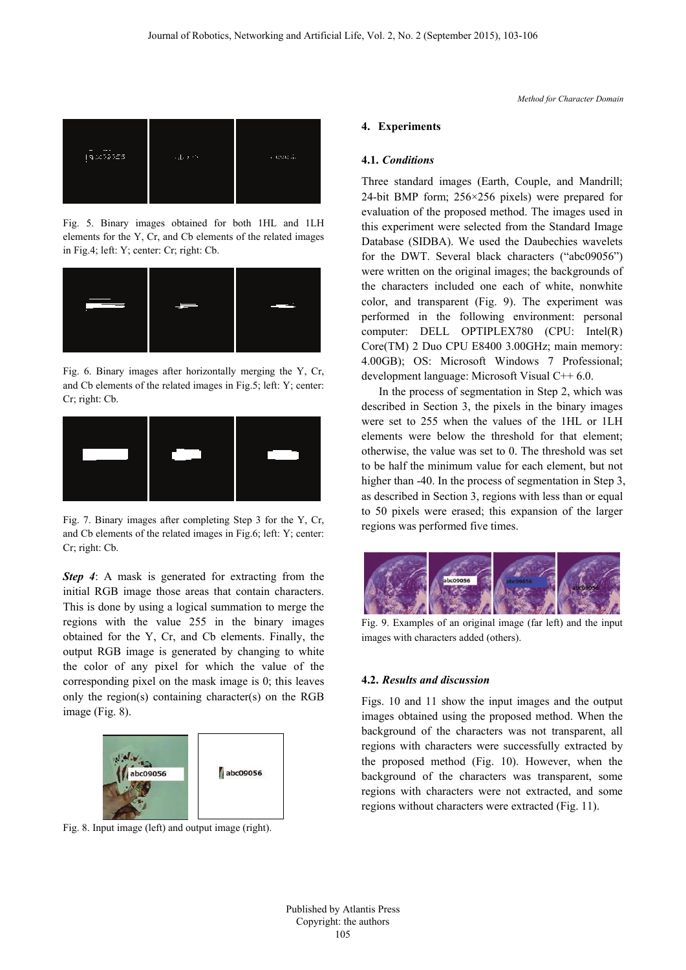

Fig. 5. Binary images obtained for both 1HL and 1LH elements for the Y, Cr, and Cb elements of the related images in Fig.4; left: Y; center: Cr; right: Cb.



Fig. 6. Binary images after horizontally merging the Y, Cr, and Cb elements of the related images in Fig.5; left: Y; center: Cr; right: Cb.



Fig. 7. Binary images after completing Step 3 for the Y, Cr, and Cb elements of the related images in Fig.6; left: Y; center: Cr; right: Cb.

**Step 4**: A mask is generated for extracting from the initial RGB image those areas that contain characters. This is done by using a logical summation to merge the regions with the value 255 in the binary images obtained for the Y, Cr, and Cb elements. Finally, the output RGB image is generated by changing to white the color of any pixel for which the value of the corresponding pixel on the mask image is 0; this leaves only the region(s) containing character(s) on the RGB image (Fig. 8).



Fig. 8. Input image (left) and output image (right).

#### **4. Experiments**

#### **4.1.** *Conditions*

Three standard images (Earth, Couple, and Mandrill; 24-bit BMP form; 256×256 pixels) were prepared for evaluation of the proposed method. The images used in this experiment were selected from the Standard Image Database (SIDBA). We used the Daubechies wavelets for the DWT. Several black characters ("abc09056") were written on the original images; the backgrounds of the characters included one each of white, nonwhite color, and transparent (Fig. 9). The experiment was performed in the following environment: personal computer: DELL OPTIPLEX780 (CPU: Intel(R) Core(TM) 2 Duo CPU E8400 3.00GHz; main memory: 4.00GB); OS: Microsoft Windows 7 Professional; development language: Microsoft Visual C++ 6.0.

In the process of segmentation in Step 2, which was described in Section 3, the pixels in the binary images were set to 255 when the values of the 1HL or 1LH elements were below the threshold for that element; otherwise, the value was set to 0. The threshold was set to be half the minimum value for each element, but not higher than -40. In the process of segmentation in Step 3, as described in Section 3, regions with less than or equal to 50 pixels were erased; this expansion of the larger regions was performed five times.



Fig. 9. Examples of an original image (far left) and the input images with characters added (others).

## **4.2.** *Results and discussion*

Figs. 10 and 11 show the input images and the output images obtained using the proposed method. When the background of the characters was not transparent, all regions with characters were successfully extracted by the proposed method (Fig. 10). However, when the background of the characters was transparent, some regions with characters were not extracted, and some regions without characters were extracted (Fig. 11).